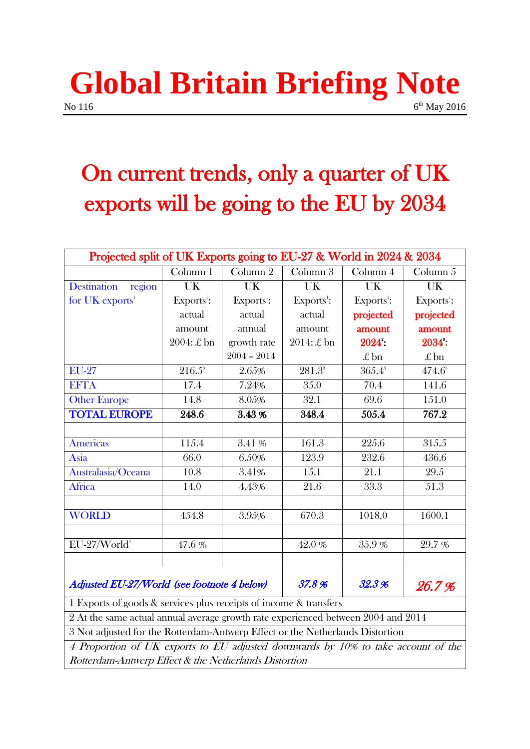### **Global Britain Briefing Note**  $\sqrt{6}$  No 116  $6<sup>th</sup>$  May 2016

## On current trends, only a quarter of UK exports will be going to the EU by 2034

| Projected split of UK Exports going to EU-27 & World in 2024 & 2034               |                    |                     |                        |                 |                 |
|-----------------------------------------------------------------------------------|--------------------|---------------------|------------------------|-----------------|-----------------|
|                                                                                   | Column 1           | Column <sub>2</sub> | Column 3               | Column 4        | Column $5$      |
| <b>Destination</b><br>region                                                      | <b>UK</b>          | UK                  | UK                     | UK              | UK              |
| for UK exports <sup>1</sup>                                                       | Exports $\cdot$ :  | $Exports1$ :        | Exports <sup>1</sup> : | $Exports1$ :    | $Exports1$ :    |
|                                                                                   | actual             | actual              | actual                 | projected       | projected       |
|                                                                                   | amount             | annual              | amount                 | amount          | amount          |
|                                                                                   | $2004: \pounds$ bn | growth rate         | $2014: \pounds$ bn     | 2024:           | 2034:           |
|                                                                                   |                    | $2004 - 2014$       |                        | $\pounds$ bn    | $\pounds$ bn    |
| <b>EU-27</b>                                                                      | $216.5^{\circ}$    | 2.65%               | $281.3^{\circ}$        | $365.4^{\circ}$ | $474.6^{\circ}$ |
| <b>EFTA</b>                                                                       | 17.4               | 7.24%               | 35.0                   | 70.4            | 141.6           |
| <b>Other Europe</b>                                                               | 14.8               | 8.05%               | 32.1                   | 69.6            | 151.0           |
| <b>TOTAL EUROPE</b>                                                               | 248.6              | 3.43%               | 348.4                  | 505.4           | 767.2           |
|                                                                                   |                    |                     |                        |                 |                 |
| Americas                                                                          | 115.4              | 3.41 %              | 161.3                  | 225.6           | 315.5           |
| Asia                                                                              | 66.0               | 6.50%               | 123.9                  | 232.6           | 436.6           |
| Australasia/Oceana                                                                | 10.8               | 3.41%               | 15.1                   | 21.1            | 29.5            |
| <b>Africa</b>                                                                     | 14.0               | 4.43%               | 21.6                   | 33.3            | 51.3            |
|                                                                                   |                    |                     |                        |                 |                 |
| <b>WORLD</b>                                                                      | 454.8              | 3.95%               | 670.3                  | 1018.0          | 1600.1          |
|                                                                                   |                    |                     |                        |                 |                 |
| EU-27/World <sup>3</sup>                                                          | 47.6%              |                     | 42.0%                  | 35.9%           | 29.7 %          |
|                                                                                   |                    |                     |                        |                 |                 |
| Adjusted EU-27/World (see footnote 4 below)                                       |                    |                     | 37.8%                  | 32.3%           | 26.7%           |
| 1 Exports of goods & services plus receipts of income & transfers                 |                    |                     |                        |                 |                 |
| 2 At the same actual annual average growth rate experienced between 2004 and 2014 |                    |                     |                        |                 |                 |
| 3 Not adjusted for the Rotterdam-Antwerp Effect or the Netherlands Distortion     |                    |                     |                        |                 |                 |
| 4 Proportion of UK exports to EU adjusted downwards by 10% to take account of the |                    |                     |                        |                 |                 |
| Rotterdam-Antwerp Effect & the Netherlands Distortion                             |                    |                     |                        |                 |                 |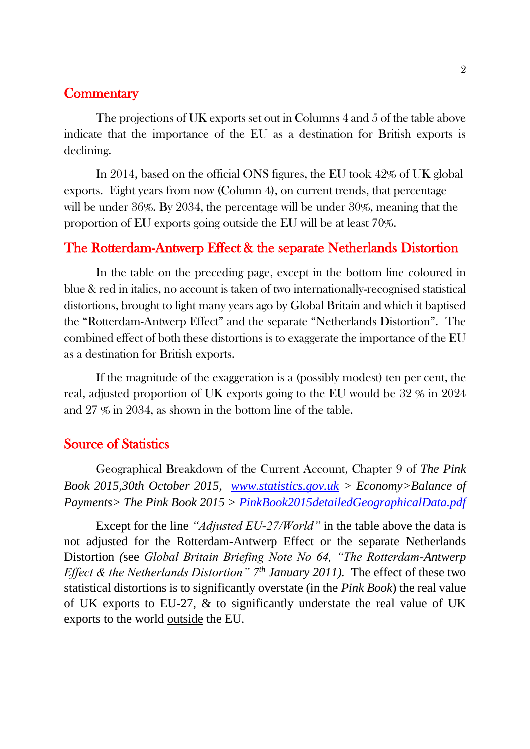#### **Commentary**

The projections of UK exports set out in Columns 4 and 5 of the table above indicate that the importance of the EU as a destination for British exports is declining.

In 2014, based on the official ONS figures, the EU took 42% of UK global exports. Eight years from now (Column 4), on current trends, that percentage will be under 36%. By 2034, the percentage will be under 30%, meaning that the proportion of EU exports going outside the EU will be at least 70%.

#### The Rotterdam-Antwerp Effect & the separate Netherlands Distortion

In the table on the preceding page, except in the bottom line coloured in blue & red in italics, no account is taken of two internationally-recognised statistical distortions, brought to light many years ago by Global Britain and which it baptised the "Rotterdam-Antwerp Effect" and the separate "Netherlands Distortion". The combined effect of both these distortions is to exaggerate the importance of the EU as a destination for British exports.

If the magnitude of the exaggeration is a (possibly modest) ten per cent, the real, adjusted proportion of UK exports going to the EU would be 32 % in 2024 and 27 % in 2034, as shown in the bottom line of the table.

#### Source of Statistics

Geographical Breakdown of the Current Account, Chapter 9 of *The Pink Book 2015,30th October 2015, [www.statistics.gov.uk](http://www.statistics.gov.uk/) > Economy>Balance of Payments> The Pink Book 2015 > PinkBook2015detailedGeographicalData.pdf*

Except for the line *"Adjusted EU-27/World"* in the table above the data is not adjusted for the Rotterdam-Antwerp Effect or the separate Netherlands Distortion *(*see *Global Britain Briefing Note No 64, "The Rotterdam-Antwerp Effect & the Netherlands Distortion" 7th January 2011).* The effect of these two statistical distortions is to significantly overstate (in the *Pink Book*) the real value of UK exports to EU-27, & to significantly understate the real value of UK exports to the world outside the EU.